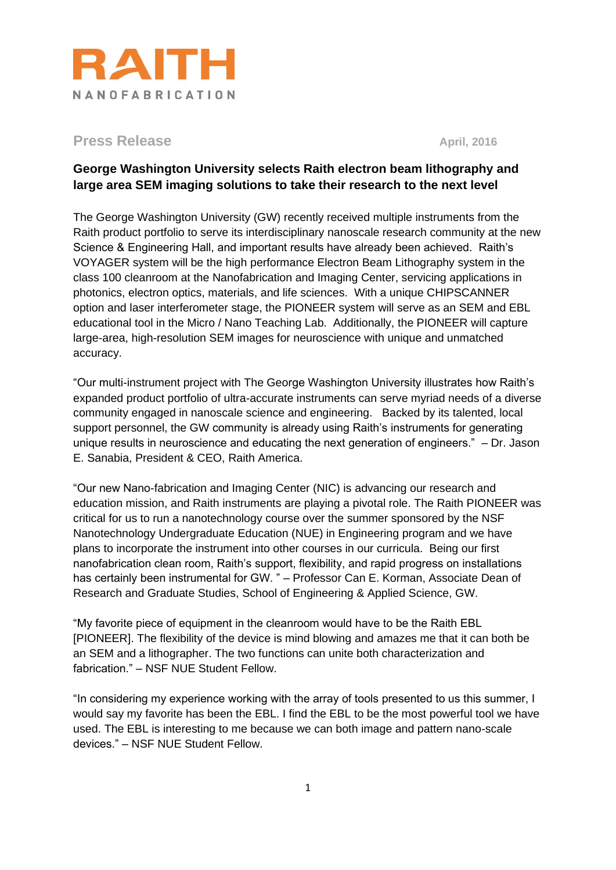

**Press Release April, 2016** 

## **George Washington University selects Raith electron beam lithography and large area SEM imaging solutions to take their research to the next level**

The George Washington University (GW) recently received multiple instruments from the Raith product portfolio to serve its interdisciplinary nanoscale research community at the new Science & Engineering Hall, and important results have already been achieved. Raith's VOYAGER system will be the high performance Electron Beam Lithography system in the class 100 cleanroom at the Nanofabrication and Imaging Center, servicing applications in photonics, electron optics, materials, and life sciences. With a unique CHIPSCANNER option and laser interferometer stage, the PIONEER system will serve as an SEM and EBL educational tool in the Micro / Nano Teaching Lab. Additionally, the PIONEER will capture large-area, high-resolution SEM images for neuroscience with unique and unmatched accuracy.

"Our multi-instrument project with The George Washington University illustrates how Raith's expanded product portfolio of ultra-accurate instruments can serve myriad needs of a diverse community engaged in nanoscale science and engineering. Backed by its talented, local support personnel, the GW community is already using Raith's instruments for generating unique results in neuroscience and educating the next generation of engineers." – Dr. Jason E. Sanabia, President & CEO, Raith America.

"Our new Nano-fabrication and Imaging Center (NIC) is advancing our research and education mission, and Raith instruments are playing a pivotal role. The Raith PIONEER was critical for us to run a nanotechnology course over the summer sponsored by the NSF Nanotechnology Undergraduate Education (NUE) in Engineering program and we have plans to incorporate the instrument into other courses in our curricula. Being our first nanofabrication clean room, Raith's support, flexibility, and rapid progress on installations has certainly been instrumental for GW. " – Professor Can E. Korman, Associate Dean of Research and Graduate Studies, School of Engineering & Applied Science, GW.

"My favorite piece of equipment in the cleanroom would have to be the Raith EBL [PIONEER]. The flexibility of the device is mind blowing and amazes me that it can both be an SEM and a lithographer. The two functions can unite both characterization and fabrication." – NSF NUE Student Fellow.

"In considering my experience working with the array of tools presented to us this summer, I would say my favorite has been the EBL. I find the EBL to be the most powerful tool we have used. The EBL is interesting to me because we can both image and pattern nano-scale devices." – NSF NUE Student Fellow.